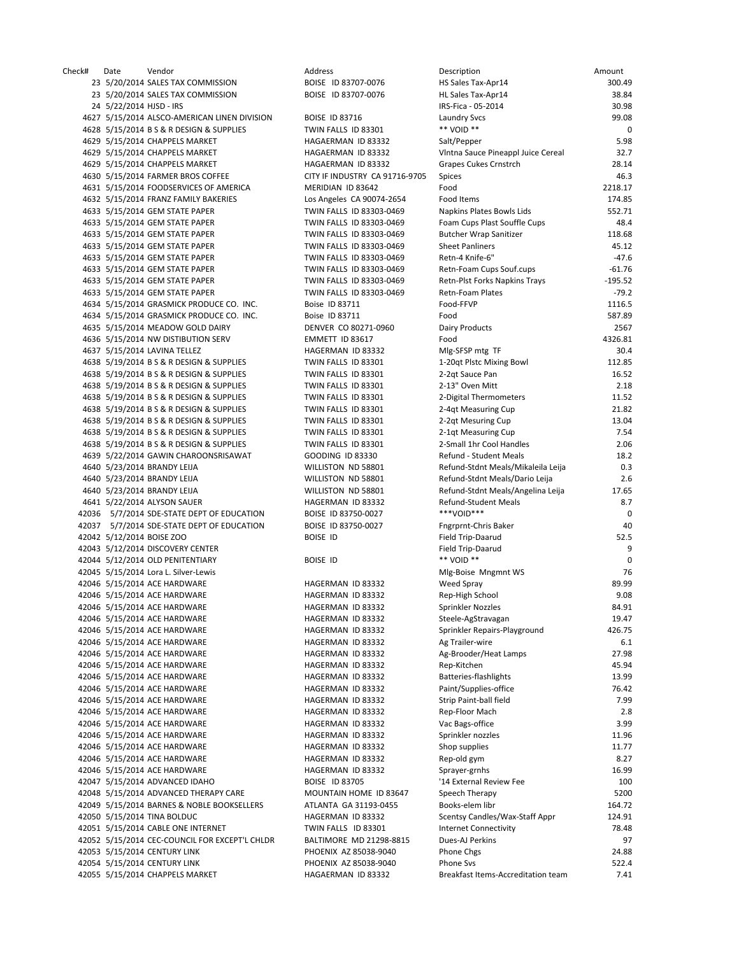Check# Date Vendor Address Description Amount 23 5/20/2014 SALES TAX COMMISSION BOISE ID 83707-0076 23 5/20/2014 SALES TAX COMMISSION BOISE ID 83707-0076 24 5/22/2014 HJSD - IRS 4627 5/15/2014 ALSCO-AMERICAN LINEN DIVISION BOISE ID 83716 4628 5/15/2014 B S & R DESIGN & SUPPLIES TWIN FALLS ID 83301 4629 5/15/2014 CHAPPELS MARKET HAGAERMAN ID 83332 4629 5/15/2014 CHAPPELS MARKET HAGAERMAN ID 83332 4629 5/15/2014 CHAPPELS MARKET HAGAERMAN ID 83332 4630 5/15/2014 FARMER BROS COFFEE CITY IF INDUSTRY CA 91716-9705 4631 5/15/2014 FOODSERVICES OF AMERICA MERIDIAN ID 83642 4632 5/15/2014 FRANZ FAMILY BAKERIES Los Angeles CA 90074-2654 4633 5/15/2014 GEM STATE PAPER TWIN FALLS ID 83303-0469 4633 5/15/2014 GEM STATE PAPER TWIN FALLS ID 83303-0469 4633 5/15/2014 GEM STATE PAPER TWIN FALLS ID 83303-0469 4633 5/15/2014 GEM STATE PAPER TWIN FALLS ID 83303-0469 4633 5/15/2014 GEM STATE PAPER TWIN FALLS ID 83303-0469 4633 5/15/2014 GEM STATE PAPER TWIN FALLS ID 83303-0469 4633 5/15/2014 GEM STATE PAPER TWIN FALLS ID 83303-0469 4633 5/15/2014 GEM STATE PAPER TWIN FALLS ID 83303-0469 4634 5/15/2014 GRASMICK PRODUCE CO. INC. Boise ID 83711 4634 5/15/2014 GRASMICK PRODUCE CO. INC. Boise ID 83711 4635 5/15/2014 MEADOW GOLD DAIRY DENVER CO 80271-0960 4636 5/15/2014 NW DISTIBUTION SERV EMMETT ID 83617 4637 5/15/2014 LAVINA TELLEZ HAGERMAN ID 83332 4638 5/19/2014 B S & R DESIGN & SUPPLIES TWIN FALLS ID 83301 4638 5/19/2014 B S & R DESIGN & SUPPLIES TWIN FALLS ID 83301 4638 5/19/2014 B S & R DESIGN & SUPPLIES TWIN FALLS ID 83301 4638 5/19/2014 B S & R DESIGN & SUPPLIES TWIN FALLS ID 83301 4638 5/19/2014 B S & R DESIGN & SUPPLIES TWIN FALLS ID 83301 4638 5/19/2014 B S & R DESIGN & SUPPLIES TWIN FALLS ID 83301 4638 5/19/2014 B S & R DESIGN & SUPPLIES TWIN FALLS ID 83301 4638 5/19/2014 B S & R DESIGN & SUPPLIES TWIN FALLS ID 83301 4639 5/22/2014 GAWIN CHAROONSRISAWAT GOODING ID 83330 4640 5/23/2014 BRANDY LEIJA WILLISTON ND 58801 4640 5/23/2014 BRANDY LEIJA WILLISTON ND 58801 4640 5/23/2014 BRANDY LEIJA WILLISTON ND 58801 4641 5/22/2014 ALYSON SAUER HAGERMAN ID 83332 42036 5/7/2014 SDE-STATE DEPT OF EDUCATION BOISE ID 83750-0027 42037 5/7/2014 SDE-STATE DEPT OF EDUCATION BOISE ID 83750-0027 42042 5/12/2014 BOISE ZOO BOISE ID 42043 5/12/2014 DISCOVERY CENTER 42044 5/12/2014 OLD PENITENTIARY BOISE ID 42045 5/15/2014 Lora L. Silver-Lewis 42046 5/15/2014 ACE HARDWARE HAGERMAN ID 83332 42046 5/15/2014 ACE HARDWARE HAGERMAN ID 83332 42046 5/15/2014 ACE HARDWARE HAGERMAN ID 83332 42046 5/15/2014 ACE HARDWARE HAGERMAN ID 83332 42046 5/15/2014 ACE HARDWARE HAGERMAN ID 83332 42046 5/15/2014 ACE HARDWARE HAGERMAN ID 83332 42046 5/15/2014 ACE HARDWARE HAGERMAN ID 83332 42046 5/15/2014 ACE HARDWARE HAGERMAN ID 83332 42046 5/15/2014 ACE HARDWARE HAGERMAN ID 83332 42046 5/15/2014 ACE HARDWARE HAGERMAN ID 83332 42046 5/15/2014 ACE HARDWARE HAGERMAN ID 83332 42046 5/15/2014 ACE HARDWARE HAGERMAN ID 83332 42046 5/15/2014 ACE HARDWARE HAGERMAN ID 83332 42046 5/15/2014 ACE HARDWARE HAGERMAN ID 83332 42046 5/15/2014 ACE HARDWARE HAGERMAN ID 83332 42046 5/15/2014 ACE HARDWARE HAGERMAN ID 83332 42046 5/15/2014 ACE HARDWARE HAGERMAN ID 83332 42047 5/15/2014 ADVANCED IDAHO BOISE ID 83705 42048 5/15/2014 ADVANCED THERAPY CARE MOUNTAIN HOME ID 83647 42049 5/15/2014 BARNES & NOBLE BOOKSELLERS ATLANTA GA 31193-0455 42050 5/15/2014 TINA BOLDUC HAGERMAN ID 83332 42051 5/15/2014 CABLE ONE INTERNET TWIN FALLS ID 83301 42052 5/15/2014 CEC-COUNCIL FOR EXCEPT'L CHLDR BALTIMORE MD 21298-8815 42053 5/15/2014 CENTURY LINK PHOENIX AZ 85038-9040 42054 5/15/2014 CENTURY LINK PHOENIX AZ 85038-9040 42055 5/15/2014 CHAPPELS MARKET HAGAERMAN ID 83332

| Description                        | Amount    |
|------------------------------------|-----------|
| HS Sales Tax-Apr14                 | 300.49    |
| HL Sales Tax-Apr14                 | 38.84     |
| IRS-Fica - 05-2014                 | 30.98     |
| <b>Laundry Svcs</b>                | 99.08     |
| ** VOID **                         | 0         |
| Salt/Pepper                        | 5.98      |
| Vintna Sauce Pineappl Juice Cereal | 32.7      |
| <b>Grapes Cukes Crnstrch</b>       | 28.14     |
| Spices                             | 46.3      |
| Food                               | 2218.17   |
|                                    |           |
| Food Items                         | 174.85    |
| Napkins Plates Bowls Lids          | 552.71    |
| Foam Cups Plast Souffle Cups       | 48.4      |
| <b>Butcher Wrap Sanitizer</b>      | 118.68    |
| <b>Sheet Panliners</b>             | 45.12     |
| Retn-4 Knife-6"                    | $-47.6$   |
| Retn-Foam Cups Souf.cups           | $-61.76$  |
| Retn-Plst Forks Napkins Trays      | $-195.52$ |
| Retn-Foam Plates                   | $-79.2$   |
| Food-FFVP                          | 1116.5    |
| Food                               | 587.89    |
| Dairy Products                     | 2567      |
|                                    |           |
| Food                               | 4326.81   |
| Mlg-SFSP mtg TF                    | 30.4      |
| 1-20qt Plstc Mixing Bowl           | 112.85    |
| 2-2qt Sauce Pan                    | 16.52     |
| 2-13" Oven Mitt                    | 2.18      |
| 2-Digital Thermometers             | 11.52     |
| 2-4qt Measuring Cup                | 21.82     |
| 2-2qt Mesuring Cup                 | 13.04     |
| 2-1qt Measuring Cup                | 7.54      |
| 2-Small 1hr Cool Handles           | 2.06      |
| Refund - Student Meals             | 18.2      |
| Refund-Stdnt Meals/Mikaleila Leija | 0.3       |
| Refund-Stdnt Meals/Dario Leija     | 2.6       |
|                                    | 17.65     |
| Refund-Stdnt Meals/Angelina Leija  |           |
| <b>Refund-Student Meals</b>        | 8.7       |
| ***VOID***                         | 0         |
| <b>Fngrprnt-Chris Baker</b>        | 40        |
| Field Trip-Daarud                  | 52.5      |
| Field Trip-Daarud                  | 9         |
| ** VOID **                         | 0         |
| Mlg-Boise Mngmnt WS                | 76        |
| <b>Weed Spray</b>                  | 89.99     |
| Rep-High School                    | 9.08      |
| Sprinkler Nozzles                  | 84.91     |
| Steele-AgStravagan                 | 19.47     |
| Sprinkler Repairs-Playground       | 426.75    |
| Ag Trailer-wire                    | 6.1       |
|                                    | 27.98     |
| Ag-Brooder/Heat Lamps              |           |
| Rep-Kitchen                        | 45.94     |
| Batteries-flashlights              | 13.99     |
| Paint/Supplies-office              | 76.42     |
| Strip Paint-ball field             | 7.99      |
| Rep-Floor Mach                     | 2.8       |
| Vac Bags-office                    | 3.99      |
| Sprinkler nozzles                  | 11.96     |
| Shop supplies                      | 11.77     |
| Rep-old gym                        | 8.27      |
| Sprayer-grnhs                      | 16.99     |
| '14 External Review Fee            | 100       |
|                                    | 5200      |
| Speech Therapy                     |           |
| Books-elem libr                    | 164.72    |
| Scentsy Candles/Wax-Staff Appr     | 124.91    |
| <b>Internet Connectivity</b>       | 78.48     |
| Dues-AJ Perkins                    | 97        |
| Phone Chgs                         | 24.88     |
| <b>Phone Svs</b>                   | 522.4     |
| Breakfast Items-Accreditation team | 7.41      |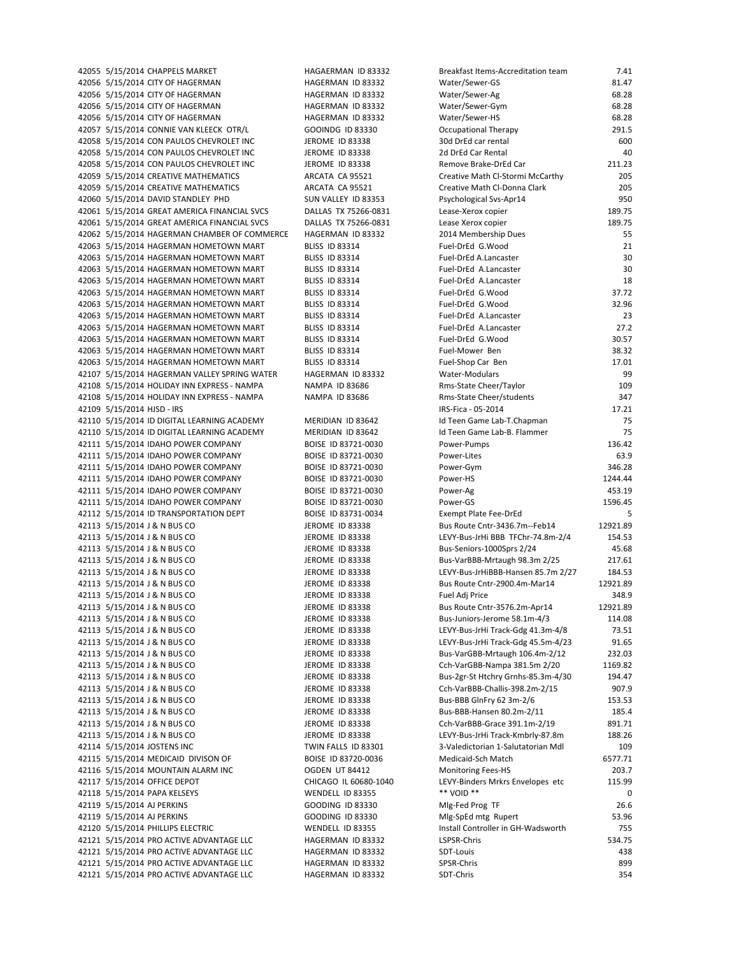42055 5/15/2014 CHAPPELS MARKET HAGAERMAN ID 83332 42056 5/15/2014 CITY OF HAGERMAN HAGERMAN HAGERMAN ID 83332 42056 5/15/2014 CITY OF HAGERMAN MAGERMAN HAGERMAN ID 83332 42056 5/15/2014 CITY OF HAGERMAN HAGERMAN HAGERMAN HD 83332 42056 5/15/2014 CITY OF HAGERMAN HAGERMAN HAGERMAN ID 83332 42057 5/15/2014 CONNIE VAN KLEECK OTR/L GOOINDG ID 83330 42058 5/15/2014 CON PAULOS CHEVROLET INC JEROME ID 83338 42058 5/15/2014 CON PAULOS CHEVROLET INC JEROME ID 83338 42058 5/15/2014 CON PAULOS CHEVROLET INC JEROME ID 83338 42059 5/15/2014 CREATIVE MATHEMATICS ARCATA CA 95521 42059 5/15/2014 CREATIVE MATHEMATICS ARCATA CA 95521 42060 5/15/2014 DAVID STANDLEY PHD SUN VALLEY ID 83353 42061 5/15/2014 GREAT AMERICA FINANCIAL SVCS DALLAS TX 75266-0831 42061 5/15/2014 GREAT AMERICA FINANCIAL SVCS DALLAS TX 75266-0831 42062 5/15/2014 HAGERMAN CHAMBER OF COMMERCE HAGERMAN ID 83332 42063 5/15/2014 HAGERMAN HOMETOWN MART BLISS ID 83314 42063 5/15/2014 HAGERMAN HOMETOWN MART BLISS ID 83314 42063 5/15/2014 HAGERMAN HOMETOWN MART BLISS ID 83314 42063 5/15/2014 HAGERMAN HOMETOWN MART BLISS ID 83314 42063 5/15/2014 HAGERMAN HOMETOWN MART BLISS ID 83314 42063 5/15/2014 HAGERMAN HOMETOWN MART BLISS ID 83314 42063 5/15/2014 HAGERMAN HOMETOWN MART BLISS ID 83314 42063 5/15/2014 HAGERMAN HOMETOWN MART BLISS ID 83314 42063 5/15/2014 HAGERMAN HOMETOWN MART BLISS ID 83314 42063 5/15/2014 HAGERMAN HOMETOWN MART BLISS ID 83314 42063 5/15/2014 HAGERMAN HOMETOWN MART BLISS ID 83314 42107 5/15/2014 HAGERMAN VALLEY SPRING WATER HAGERMAN ID 83332 42108 5/15/2014 HOLIDAY INN EXPRESS - NAMPA NAMPA ID 83686 42108 5/15/2014 HOLIDAY INN EXPRESS - NAMPA NAMPA ID 83686 42109 5/15/2014 HJSD - IRS 42110 5/15/2014 ID DIGITAL LEARNING ACADEMY MERIDIAN ID 83642 42110 5/15/2014 ID DIGITAL LEARNING ACADEMY MERIDIAN ID 83642 42111 5/15/2014 IDAHO POWER COMPANY BOISE ID 83721-0030 42111 5/15/2014 IDAHO POWER COMPANY BOISE ID 83721-0030 42111 5/15/2014 IDAHO POWER COMPANY BOISE ID 83721-0030 42111 5/15/2014 IDAHO POWER COMPANY BOISE ID 83721-0030 42111 5/15/2014 IDAHO POWER COMPANY BOISE ID 83721-0030 42111 5/15/2014 IDAHO POWER COMPANY BOISE ID 83721-0030 42112 5/15/2014 ID TRANSPORTATION DEPT BOISE ID 83731-0034 42113 5/15/2014 J & N BUS CO JEROME ID 83338 42113 5/15/2014 J & N BUS CO JEROME ID 83338 42113 5/15/2014 J & N BUS CO JEROME ID 83338 42113 5/15/2014 J & N BUS CO JEROME ID 83338 42113 5/15/2014 J & N BUS CO JEROME ID 83338 42113 5/15/2014 J & N BUS CO JEROME ID 83338 42113 5/15/2014 J & N BUS CO JEROME ID 83338 42113 5/15/2014 J & N BUS CO JEROME ID 83338 42113 5/15/2014 J & N BUS CO JEROME ID 83338 42113 5/15/2014 J & N BUS CO JEROME ID 83338 42113 5/15/2014 J & N BUS CO JEROME ID 83338 42113 5/15/2014 J & N BUS CO JEROME ID 83338 42113 5/15/2014 J & N BUS CO JEROME ID 83338 42113 5/15/2014 J & N BUS CO JEROME ID 83338 42113 5/15/2014 J & N BUS CO JEROME ID 83338 42113 5/15/2014 J & N BUS CO JEROME ID 83338 42113 5/15/2014 J & N BUS CO JEROME ID 83338 42113 5/15/2014 J & N BUS CO JEROME ID 83338 42113 5/15/2014 J & N BUS CO JEROME ID 83338 42114 5/15/2014 JOSTENS INC **TWIN FALLS ID 83301** 42115 5/15/2014 MEDICAID DIVISON OF BOISE ID 83720-0036 42116 5/15/2014 MOUNTAIN ALARM INC OGDEN UT 84412 Monitoring Fees‐HS 203.7 42117 5/15/2014 OFFICE DEPOT CHICAGO IL 60680-1040 42118 5/15/2014 PAPA KELSEYS WENDELL ID 83355 42119 5/15/2014 AJ PERKINS GOODING ID 83330 42119 5/15/2014 AJ PERKINS GOODING ID 83330 42120 5/15/2014 PHILLIPS ELECTRIC WENDELL ID 83355 42121 5/15/2014 PRO ACTIVE ADVANTAGE LLC HAGERMAN ID 83332 42121 5/15/2014 PRO ACTIVE ADVANTAGE LLC HAGERMAN ID 83332 42121 5/15/2014 PRO ACTIVE ADVANTAGE LLC HAGERMAN ID 83332 42121 5/15/2014 PRO ACTIVE ADVANTAGE LLC HAGERMAN ID 83332

| Breakfast Items-Accreditation team | 7.41     |
|------------------------------------|----------|
| Water/Sewer-GS                     | 81.47    |
| Water/Sewer-Ag                     | 68.28    |
| Water/Sewer-Gym                    | 68.28    |
| Water/Sewer-HS                     | 68.28    |
| Occupational Therapy               | 291.5    |
| 30d DrEd car rental                | 600      |
| 2d DrEd Car Rental                 | 40       |
|                                    |          |
| Remove Brake-DrEd Car              | 211.23   |
| Creative Math Cl-Stormi McCarthy   | 205      |
| Creative Math Cl-Donna Clark       | 205      |
| Psychological Svs-Apr14            | 950      |
| Lease-Xerox copier                 | 189.75   |
| Lease Xerox copier                 | 189.75   |
| 2014 Membership Dues               | 55       |
| Fuel-DrEd G.Wood                   | 21       |
| Fuel-DrEd A.Lancaster              | 30       |
|                                    |          |
| Fuel-DrEd A.Lancaster              | 30       |
| Fuel-DrEd A.Lancaster              | 18       |
| Fuel-DrEd G.Wood                   | 37.72    |
| Fuel-DrEd G.Wood                   | 32.96    |
| Fuel-DrEd A.Lancaster              | 23       |
| Fuel-DrEd A.Lancaster              | 27.2     |
| Fuel-DrEd G.Wood                   | 30.57    |
| Fuel-Mower Ben                     | 38.32    |
|                                    |          |
| Fuel-Shop Car Ben                  | 17.01    |
| Water-Modulars                     | 99       |
| Rms-State Cheer/Taylor             | 109      |
| Rms-State Cheer/students           | 347      |
| IRS-Fica - 05-2014                 | 17.21    |
| Id Teen Game Lab-T.Chapman         | 75       |
| Id Teen Game Lab-B. Flammer        | 75       |
| Power-Pumps                        | 136.42   |
| Power-Lites                        | 63.9     |
|                                    |          |
| Power-Gym                          | 346.28   |
| Power-HS                           | 1244.44  |
| Power-Ag                           | 453.19   |
| Power-GS                           | 1596.45  |
| Exempt Plate Fee-DrEd              | 5        |
| Bus Route Cntr-3436.7m--Feb14      | 12921.89 |
| LEVY-Bus-JrHi BBB TFChr-74.8m-2/4  | 154.53   |
| Bus-Seniors-1000Sprs 2/24          | 45.68    |
|                                    | 217.61   |
| Bus-VarBBB-Mrtaugh 98.3m 2/25      |          |
| LEVY-Bus-JrHiBBB-Hansen 85.7m 2/27 | 184.53   |
| Bus Route Cntr-2900.4m-Mar14       | 12921.89 |
| Fuel Adj Price                     | 348.9    |
| Bus Route Cntr-3576.2m-Apr14       | 12921.89 |
| Bus-Juniors-Jerome 58.1m-4/3       | 114.08   |
| LEVY-Bus-JrHi Track-Gdg 41.3m-4/8  | 73.51    |
| LEVY-Bus-JrHi Track-Gdg 45.5m-4/23 | 91.65    |
| Bus-VarGBB-Mrtaugh 106.4m-2/12     | 232.03   |
|                                    |          |
| Cch-VarGBB-Nampa 381.5m 2/20       | 1169.82  |
| Bus-2gr-St Htchry Grnhs-85.3m-4/30 | 194.47   |
| Cch-VarBBB-Challis-398.2m-2/15     | 907.9    |
| Bus-BBB GlnFry 62 3m-2/6           | 153.53   |
| Bus-BBB-Hansen 80.2m-2/11          | 185.4    |
| Cch-VarBBB-Grace 391.1m-2/19       | 891.71   |
| LEVY-Bus-JrHi Track-Kmbrly-87.8m   | 188.26   |
| 3-Valedictorian 1-Salutatorian Mdl | 109      |
| Medicaid-Sch Match                 |          |
|                                    | 6577.71  |
| <b>Monitoring Fees-HS</b>          | 203.7    |
| LEVY-Binders Mrkrs Envelopes etc   | 115.99   |
| ** VOID **                         | 0        |
| Mlg-Fed Prog TF                    | 26.6     |
| Mlg-SpEd mtg Rupert                | 53.96    |
| Install Controller in GH-Wadsworth | 755      |
| LSPSR-Chris                        | 534.75   |
|                                    |          |
| SDT-Louis                          | 438      |
| SPSR-Chris                         | 899      |
| SDT-Chris                          | 354      |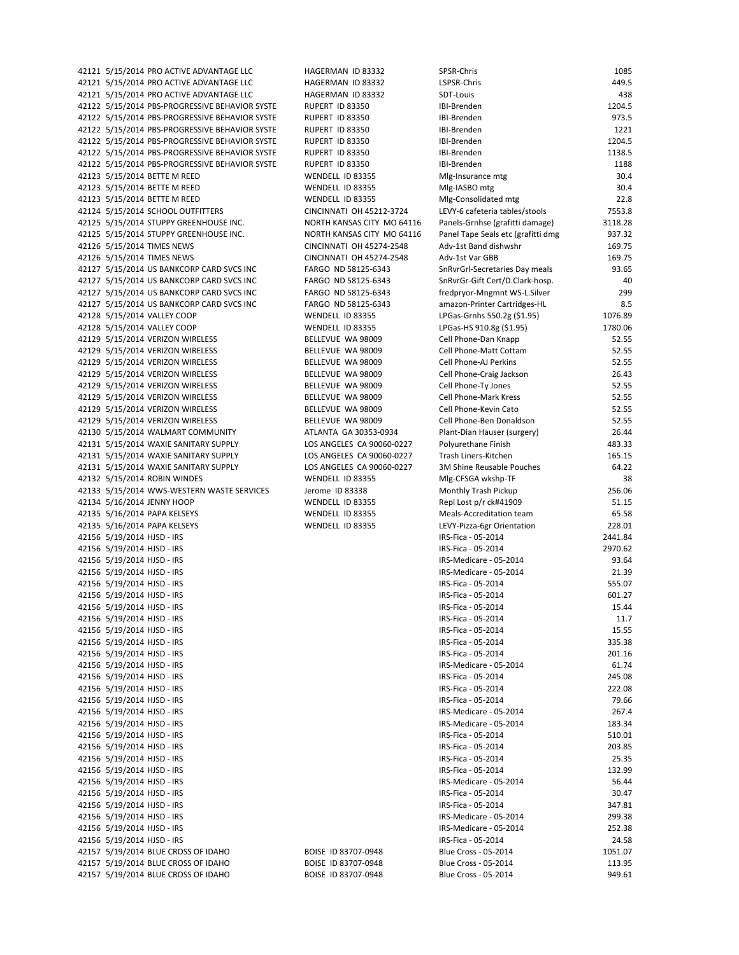42121 5/15/2014 PRO ACTIVE ADVANTAGE LLC 
BAGERMAN ID 83332

S 42121 5/15/2014 PRO ACTIVE ADVANTAGE LLC HAGERMAN ID 83332 LS 42121 5/15/2014 PRO ACTIVE ADVANTAGE LLC HAGERMAN ID 83332 S 42122 5/15/2014 PBS-PROGRESSIVE BEHAVIOR SYSTE RUPERT ID 83350 IB 42122 5/15/2014 PBS-PROGRESSIVE BEHAVIOR SYSTE RUPERT ID 83350 II 42122 5/15/2014 PBS-PROGRESSIVE BEHAVIOR SYSTE RUPERT ID 83350 IB 42122 5/15/2014 PBS-PROGRESSIVE BEHAVIOR SYSTE RUPERT ID 83350 IB 42122 5/15/2014 PBS-PROGRESSIVE BEHAVIOR SYSTE RUPERT ID 83350 II 42122 5/15/2014 PBS-PROGRESSIVE BEHAVIOR SYSTE RUPERT ID 83350 II 42123 5/15/2014 BETTE M REED WENDELL ID 83355 M 42123 5/15/2014 BETTE M REED WENDELL ID 83355 42123 5/15/2014 BETTE M REED WENDELL ID 83355 42124 5/15/2014 SCHOOL OUTFITTERS CINCINNATI OH 45212-3724 L 42125 5/15/2014 STUPPY GREENHOUSE INC. NORTH KANSAS CITY MO 64116 P 42125 5/15/2014 STUPPY GREENHOUSE INC. NORTH KANSAS CITY MO 64116 P 42126 5/15/2014 TIMES NEWS CINCINNATI OH 45274-2548 42126 5/15/2014 TIMES NEWS CINCINNATI OH 45274-2548 42127 5/15/2014 US BANKCORP CARD SVCS INC FARGO ND 58125-6343 S 42127 5/15/2014 US BANKCORP CARD SVCS INC FARGO ND 58125-6343 S 42127 5/15/2014 US BANKCORP CARD SVCS INC FARGO ND 58125-6343 free parameters of the Magmant Washington Washington W 42127 5/15/2014 US BANKCORP CARD SVCS INC FARGO ND 58125-6343 amazon 42128 5/15/2014 VALLEY COOP WENDELL ID 83355 42128 5/15/2014 VALLEY COOP WENDELL ID 83355 42129 5/15/2014 VERIZON WIRELESS BELLEVUE WA 98009 C 42129 5/15/2014 VERIZON WIRELESS BELLEVUE WA 98009 C 42129 5/15/2014 VERIZON WIRELESS BELLEVUE WA 98009 C 42129 5/15/2014 VERIZON WIRELESS BELLEVUE WA 98009 C 42129 5/15/2014 VERIZON WIRELESS BELLEVUE WA 98009 C 42129 5/15/2014 VERIZON WIRELESS BELLEVUE WA 98009 C 42129 5/15/2014 VERIZON WIRELESS BELLEVUE WA 98009 C 42129 5/15/2014 VERIZON WIRELESS BELLEVUE WA 98009 C 42130 5/15/2014 WALMART COMMUNITY ATLANTA GA 30353-0934 P 42131 5/15/2014 WAXIE SANITARY SUPPLY LOS ANGELES CA 90060-0227 P 42131 5/15/2014 WAXIE SANITARY SUPPLY LOS ANGELES CA 90060-0227 T 42131 5/15/2014 WAXIE SANITARY SUPPLY LOS ANGELES CA 90060-0227 3 42132 5/15/2014 ROBIN WINDES WENDELL ID 83355 M 42133 5/15/2014 WWS-WESTERN WASTE SERVICES Jerome ID 83338 42134 5/16/2014 JENNY HOOP REPLACE OF STRAIN WENDELL ID 83355 42135 5/16/2014 PAPA KELSEYS WENDELL ID 83355 Meals 42135 5/16/2014 PAPA KELSEYS WENDELL ID 83355 LEVER 42156 5/19/2014 HJSD - IRS IRS 42156 5/19/2014 HJSD - IRS<br>
II 42156 5/19/2014 HJSD - IRS IRS 42156 5/19/2014 HJSD - IRS IRS 42156 5/19/2014 HJSD - IRS IRS IRS 42156 5/19/2014 HJSD - IRS IRS 42156 5/19/2014 HJSD - IRS 42156 5/19/2014 HJSD - IRS IRS 42156 5/19/2014 HJSD - IRS IRS 42156 5/19/2014 HJSD - IRS IRS 42156 5/19/2014 HJSD - IRS IRS 42156 5/19/2014 HJSD - IRS 42156 5/19/2014 HJSD - IRS 42156 5/19/2014 HJSD - IRS IRS 42156 5/19/2014 HJSD - IRS IRS 42156 5/19/2014 HJSD - IRS IRS 42156 5/19/2014 HJSD - IRS 42156 5/19/2014 HJSD - IRS 42156 5/19/2014 HJSD - IRS IRS 42156 5/19/2014 HJSD - IRS IRS 42156 5/19/2014 HJSD - IRS IRS 42156 5/19/2014 HJSD - IRS IRS 42156 5/19/2014 HJSD - IRS IRS 42156 5/19/2014 HJSD - IRS IRS 42156 5/19/2014 HJSD - IRS IRS 42156 5/19/2014 HJSD - IRS 42156 5/19/2014 HJSD - IRS 42157 5/19/2014 BLUE CROSS OF IDAHO BOISE ID 83707-0948 BLUE CROSS OF IDAHO 42157 5/19/2014 BLUE CROSS OF IDAHO BOISE ID 83707-0948 B 42157 5/19/2014 BLUE CROSS OF IDAHO BOISE ID 83707-0948 BLUE CROSS OF IDAHO

| PSR-Chris                                      | 1085              |
|------------------------------------------------|-------------------|
| SPSR-Chris                                     | 449.5             |
| DT-Louis<br>BI-Brenden                         | 438<br>1204.5     |
| BI-Brenden                                     | 973.5             |
| BI-Brenden                                     | 1221              |
| BI-Brenden                                     | 1204.5            |
| BI-Brenden                                     | 1138.5            |
| <b>BI-Brenden</b>                              | 1188              |
| Alg-Insurance mtg                              | 30.4              |
| Alg-IASBO mtg                                  | 30.4              |
| Alg-Consolidated mtg                           | 22.8              |
| EVY-6 cafeteria tables/stools                  | 7553.8            |
| anels-Grnhse (grafitti damage)                 | 3118.28           |
| anel Tape Seals etc (grafitti dmg'             | 937.32            |
| <b>Adv-1st Band dishwshr</b>                   | 169.75            |
| <b>Adv-1st Var GBB</b>                         | 169.75            |
| inRvrGrl-Secretaries Day meals                 | 93.65             |
| inRvrGr-Gift Cert/D.Clark-hosp.                | 40                |
| redpryor-Mngmnt WS-L.Silver                    | 299               |
| mazon-Printer Cartridges-HL                    | 8.5               |
| PGas-Grnhs 550.2g (\$1.95)                     | 1076.89           |
| PGas-HS 910.8g (\$1.95)                        | 1780.06           |
| Cell Phone-Dan Knapp<br>ell Phone-Matt Cottam  | 52.55<br>52.55    |
| ell Phone-AJ Perkins                           | 52.55             |
| Cell Phone-Craig Jackson                       | 26.43             |
| ell Phone-Ty Jones                             | 52.55             |
| <b>Cell Phone-Mark Kress</b>                   | 52.55             |
| Cell Phone-Kevin Cato                          | 52.55             |
| Cell Phone-Ben Donaldson                       | 52.55             |
| lant-Dian Hauser (surgery)                     | 26.44             |
| 'olyurethane Finish                            | 483.33            |
| rash Liners-Kitchen                            | 165.15            |
| M Shine Reusable Pouches                       | 64.22             |
| Alg-CFSGA wkshp-TF                             | 38                |
| <b>Monthly Trash Pickup</b>                    | 256.06            |
| epl Lost p/r ck#41909}                         | 51.15             |
| Meals-Accreditation team                       | 65.58             |
| EVY-Pizza-6gr Orientation                      | 228.01            |
| RS-Fica - 05-2014                              | 2441.84           |
| RS-Fica - 05-2014                              | 2970.62           |
| RS-Medicare - 05-2014<br>RS-Medicare - 05-2014 | 93.64<br>21.39    |
| RS-Fica - 05-2014                              | 555.07            |
| RS-Fica - 05-2014                              | 601.27            |
| RS-Fica - 05-2014                              | 15.44             |
| RS-Fica - 05-2014                              | 11.7              |
| RS-Fica - 05-2014                              | 15.55             |
| RS-Fica - 05-2014                              | 335.38            |
| RS-Fica - 05-2014                              | 201.16            |
| RS-Medicare - 05-2014                          | 61.74             |
| RS-Fica - 05-2014                              | 245.08            |
| RS-Fica - 05-2014                              | 222.08            |
| RS-Fica - 05-2014                              | 79.66             |
| RS-Medicare - 05-2014                          | 267.4             |
| RS-Medicare - 05-2014                          | 183.34            |
| RS-Fica - 05-2014                              | 510.01            |
| RS-Fica - 05-2014                              | 203.85            |
| RS-Fica - 05-2014                              | 25.35             |
| RS-Fica - 05-2014                              | 132.99            |
| RS-Medicare - 05-2014                          | 56.44             |
| RS-Fica - 05-2014                              | 30.47             |
| RS-Fica - 05-2014                              | 347.81            |
| RS-Medicare - 05-2014                          | 299.38            |
| RS-Medicare - 05-2014                          | 252.38            |
| RS-Fica - 05-2014<br>Blue Cross - 05-2014      | 24.58             |
| Blue Cross - 05-2014                           | 1051.07<br>113.95 |
| Blue Cross - 05-2014                           | 949.61            |
|                                                |                   |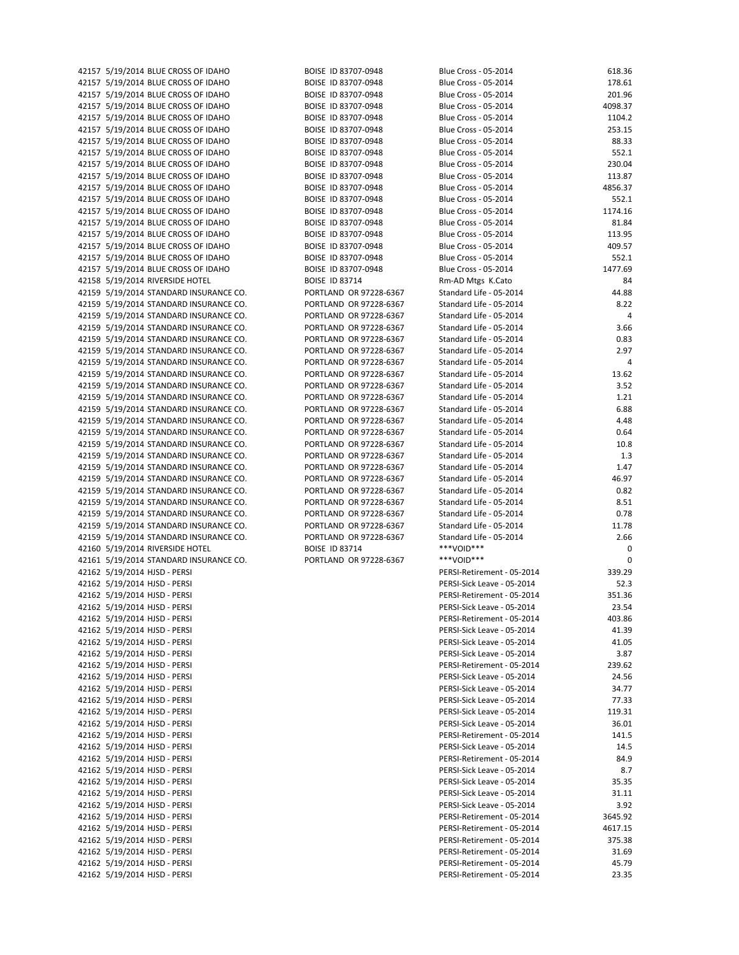| 42157 5/19/2014 BLUE CROSS OF IDAHO    | BOISE ID 83707-0948    | Blue Cross - 05-2014        | 618.36         |
|----------------------------------------|------------------------|-----------------------------|----------------|
| 42157 5/19/2014 BLUE CROSS OF IDAHO    | BOISE ID 83707-0948    | Blue Cross - 05-2014        | 178.61         |
| 42157 5/19/2014 BLUE CROSS OF IDAHO    | BOISE ID 83707-0948    | Blue Cross - 05-2014        | 201.96         |
| 42157 5/19/2014 BLUE CROSS OF IDAHO    | BOISE ID 83707-0948    | Blue Cross - 05-2014        | 4098.37        |
| 42157 5/19/2014 BLUE CROSS OF IDAHO    | BOISE ID 83707-0948    | Blue Cross - 05-2014        | 1104.2         |
| 42157 5/19/2014 BLUE CROSS OF IDAHO    | BOISE ID 83707-0948    | Blue Cross - 05-2014        | 253.15         |
| 42157 5/19/2014 BLUE CROSS OF IDAHO    | BOISE ID 83707-0948    | Blue Cross - 05-2014        | 88.33          |
| 42157 5/19/2014 BLUE CROSS OF IDAHO    | BOISE ID 83707-0948    | Blue Cross - 05-2014        | 552.1          |
| 42157 5/19/2014 BLUE CROSS OF IDAHO    | BOISE ID 83707-0948    | Blue Cross - 05-2014        | 230.04         |
| 42157 5/19/2014 BLUE CROSS OF IDAHO    | BOISE ID 83707-0948    | Blue Cross - 05-2014        | 113.87         |
| 42157 5/19/2014 BLUE CROSS OF IDAHO    | BOISE ID 83707-0948    | Blue Cross - 05-2014        | 4856.37        |
|                                        |                        |                             | 552.1          |
| 42157 5/19/2014 BLUE CROSS OF IDAHO    | BOISE ID 83707-0948    | <b>Blue Cross - 05-2014</b> |                |
| 42157 5/19/2014 BLUE CROSS OF IDAHO    | BOISE ID 83707-0948    | Blue Cross - 05-2014        | 1174.16        |
| 42157 5/19/2014 BLUE CROSS OF IDAHO    | BOISE ID 83707-0948    | Blue Cross - 05-2014        | 81.84          |
| 42157 5/19/2014 BLUE CROSS OF IDAHO    | BOISE ID 83707-0948    | Blue Cross - 05-2014        | 113.95         |
| 42157 5/19/2014 BLUE CROSS OF IDAHO    | BOISE ID 83707-0948    | Blue Cross - 05-2014        | 409.57         |
| 42157 5/19/2014 BLUE CROSS OF IDAHO    | BOISE ID 83707-0948    | Blue Cross - 05-2014        | 552.1          |
| 42157 5/19/2014 BLUE CROSS OF IDAHO    | BOISE ID 83707-0948    | Blue Cross - 05-2014        | 1477.69        |
| 42158 5/19/2014 RIVERSIDE HOTEL        | <b>BOISE ID 83714</b>  | Rm-AD Mtgs K.Cato           | 84             |
| 42159 5/19/2014 STANDARD INSURANCE CO. | PORTLAND OR 97228-6367 | Standard Life - 05-2014     | 44.88          |
| 42159 5/19/2014 STANDARD INSURANCE CO. | PORTLAND OR 97228-6367 | Standard Life - 05-2014     | 8.22           |
| 42159 5/19/2014 STANDARD INSURANCE CO. | PORTLAND OR 97228-6367 | Standard Life - 05-2014     | 4              |
| 42159 5/19/2014 STANDARD INSURANCE CO. | PORTLAND OR 97228-6367 | Standard Life - 05-2014     | 3.66           |
| 42159 5/19/2014 STANDARD INSURANCE CO. | PORTLAND OR 97228-6367 | Standard Life - 05-2014     | 0.83           |
| 42159 5/19/2014 STANDARD INSURANCE CO. | PORTLAND OR 97228-6367 | Standard Life - 05-2014     | 2.97           |
| 42159 5/19/2014 STANDARD INSURANCE CO. | PORTLAND OR 97228-6367 | Standard Life - 05-2014     | $\overline{4}$ |
| 42159 5/19/2014 STANDARD INSURANCE CO. | PORTLAND OR 97228-6367 | Standard Life - 05-2014     | 13.62          |
| 42159 5/19/2014 STANDARD INSURANCE CO. | PORTLAND OR 97228-6367 | Standard Life - 05-2014     | 3.52           |
|                                        |                        |                             |                |
| 42159 5/19/2014 STANDARD INSURANCE CO. | PORTLAND OR 97228-6367 | Standard Life - 05-2014     | 1.21           |
| 42159 5/19/2014 STANDARD INSURANCE CO. | PORTLAND OR 97228-6367 | Standard Life - 05-2014     | 6.88           |
| 42159 5/19/2014 STANDARD INSURANCE CO. | PORTLAND OR 97228-6367 | Standard Life - 05-2014     | 4.48           |
| 42159 5/19/2014 STANDARD INSURANCE CO. | PORTLAND OR 97228-6367 | Standard Life - 05-2014     | 0.64           |
| 42159 5/19/2014 STANDARD INSURANCE CO. | PORTLAND OR 97228-6367 | Standard Life - 05-2014     | 10.8           |
| 42159 5/19/2014 STANDARD INSURANCE CO. | PORTLAND OR 97228-6367 | Standard Life - 05-2014     | 1.3            |
| 42159 5/19/2014 STANDARD INSURANCE CO. | PORTLAND OR 97228-6367 | Standard Life - 05-2014     | 1.47           |
| 42159 5/19/2014 STANDARD INSURANCE CO. | PORTLAND OR 97228-6367 | Standard Life - 05-2014     | 46.97          |
| 42159 5/19/2014 STANDARD INSURANCE CO. | PORTLAND OR 97228-6367 | Standard Life - 05-2014     | 0.82           |
| 42159 5/19/2014 STANDARD INSURANCE CO. | PORTLAND OR 97228-6367 | Standard Life - 05-2014     | 8.51           |
| 42159 5/19/2014 STANDARD INSURANCE CO. | PORTLAND OR 97228-6367 | Standard Life - 05-2014     | 0.78           |
| 42159 5/19/2014 STANDARD INSURANCE CO. | PORTLAND OR 97228-6367 | Standard Life - 05-2014     | 11.78          |
| 42159 5/19/2014 STANDARD INSURANCE CO. | PORTLAND OR 97228-6367 | Standard Life - 05-2014     | 2.66           |
| 42160 5/19/2014 RIVERSIDE HOTEL        | <b>BOISE ID 83714</b>  | ***VOID***                  | $\mathbf 0$    |
| 42161 5/19/2014 STANDARD INSURANCE CO. | PORTLAND OR 97228-6367 | ***VOID***                  | 0              |
| 42162 5/19/2014 HJSD - PERSI           |                        | PERSI-Retirement - 05-2014  | 339.29         |
| 42162 5/19/2014 HJSD - PERSI           |                        | PERSI-Sick Leave - 05-2014  | 52.3           |
| 42162 5/19/2014 HJSD - PERSI           |                        | PERSI-Retirement - 05-2014  | 351.36         |
| 42162 5/19/2014 HJSD - PERSI           |                        | PERSI-Sick Leave - 05-2014  | 23.54          |
|                                        |                        |                             |                |
| 42162 5/19/2014 HJSD - PERSI           |                        | PERSI-Retirement - 05-2014  | 403.86         |
| 42162 5/19/2014 HJSD - PERSI           |                        | PERSI-Sick Leave - 05-2014  | 41.39          |
| 42162 5/19/2014 HJSD - PERSI           |                        | PERSI-Sick Leave - 05-2014  | 41.05          |
| 42162 5/19/2014 HJSD - PERSI           |                        | PERSI-Sick Leave - 05-2014  | 3.87           |
| 42162 5/19/2014 HJSD - PERSI           |                        | PERSI-Retirement - 05-2014  | 239.62         |
| 42162 5/19/2014 HJSD - PERSI           |                        | PERSI-Sick Leave - 05-2014  | 24.56          |
| 42162 5/19/2014 HJSD - PERSI           |                        | PERSI-Sick Leave - 05-2014  | 34.77          |
| 42162 5/19/2014 HJSD - PERSI           |                        | PERSI-Sick Leave - 05-2014  | 77.33          |
| 42162 5/19/2014 HJSD - PERSI           |                        | PERSI-Sick Leave - 05-2014  | 119.31         |
| 42162 5/19/2014 HJSD - PERSI           |                        | PERSI-Sick Leave - 05-2014  | 36.01          |
| 42162 5/19/2014 HJSD - PERSI           |                        | PERSI-Retirement - 05-2014  | 141.5          |
| 42162 5/19/2014 HJSD - PERSI           |                        | PERSI-Sick Leave - 05-2014  | 14.5           |
| 42162 5/19/2014 HJSD - PERSI           |                        | PERSI-Retirement - 05-2014  | 84.9           |
| 42162 5/19/2014 HJSD - PERSI           |                        | PERSI-Sick Leave - 05-2014  | 8.7            |
| 42162 5/19/2014 HJSD - PERSI           |                        | PERSI-Sick Leave - 05-2014  | 35.35          |
| 42162 5/19/2014 HJSD - PERSI           |                        | PERSI-Sick Leave - 05-2014  | 31.11          |
| 42162 5/19/2014 HJSD - PERSI           |                        | PERSI-Sick Leave - 05-2014  | 3.92           |
| 42162 5/19/2014 HJSD - PERSI           |                        | PERSI-Retirement - 05-2014  | 3645.92        |
|                                        |                        |                             |                |
| 42162 5/19/2014 HJSD - PERSI           |                        | PERSI-Retirement - 05-2014  | 4617.15        |
| 42162 5/19/2014 HJSD - PERSI           |                        | PERSI-Retirement - 05-2014  | 375.38         |
| 42162 5/19/2014 HJSD - PERSI           |                        | PERSI-Retirement - 05-2014  | 31.69          |
| 42162 5/19/2014 HJSD - PERSI           |                        | PERSI-Retirement - 05-2014  | 45.79          |
| 42162 5/19/2014 HISD - PERSI           |                        | PFRSI-Retirement - 05-2014  | 23.35          |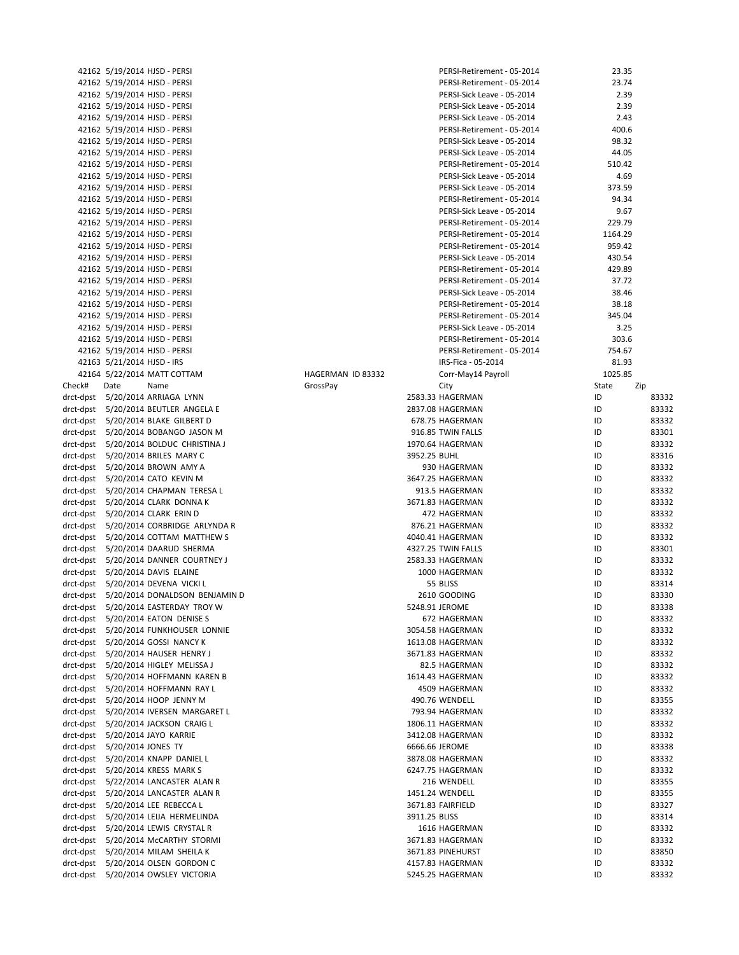|           |                            | 42162 5/19/2014 HJSD - PERSI             |                   |                | PERSI-Retirement - 05-2014 | 23.35   |       |
|-----------|----------------------------|------------------------------------------|-------------------|----------------|----------------------------|---------|-------|
|           |                            | 42162 5/19/2014 HJSD - PERSI             |                   |                | PERSI-Retirement - 05-2014 | 23.74   |       |
|           |                            | 42162 5/19/2014 HJSD - PERSI             |                   |                | PERSI-Sick Leave - 05-2014 | 2.39    |       |
|           |                            | 42162 5/19/2014 HJSD - PERSI             |                   |                | PERSI-Sick Leave - 05-2014 | 2.39    |       |
|           |                            | 42162 5/19/2014 HJSD - PERSI             |                   |                | PERSI-Sick Leave - 05-2014 | 2.43    |       |
|           |                            | 42162 5/19/2014 HJSD - PERSI             |                   |                | PERSI-Retirement - 05-2014 | 400.6   |       |
|           |                            | 42162 5/19/2014 HJSD - PERSI             |                   |                |                            |         |       |
|           |                            |                                          |                   |                | PERSI-Sick Leave - 05-2014 | 98.32   |       |
|           |                            | 42162 5/19/2014 HJSD - PERSI             |                   |                | PERSI-Sick Leave - 05-2014 | 44.05   |       |
|           |                            | 42162 5/19/2014 HJSD - PERSI             |                   |                | PERSI-Retirement - 05-2014 | 510.42  |       |
|           |                            | 42162 5/19/2014 HJSD - PERSI             |                   |                | PERSI-Sick Leave - 05-2014 | 4.69    |       |
|           |                            | 42162 5/19/2014 HJSD - PERSI             |                   |                | PERSI-Sick Leave - 05-2014 | 373.59  |       |
|           |                            | 42162 5/19/2014 HJSD - PERSI             |                   |                | PERSI-Retirement - 05-2014 | 94.34   |       |
|           |                            |                                          |                   |                |                            |         |       |
|           |                            | 42162 5/19/2014 HJSD - PERSI             |                   |                | PERSI-Sick Leave - 05-2014 | 9.67    |       |
|           |                            | 42162 5/19/2014 HJSD - PERSI             |                   |                | PERSI-Retirement - 05-2014 | 229.79  |       |
|           |                            | 42162 5/19/2014 HJSD - PERSI             |                   |                | PERSI-Retirement - 05-2014 | 1164.29 |       |
|           |                            | 42162 5/19/2014 HJSD - PERSI             |                   |                | PERSI-Retirement - 05-2014 | 959.42  |       |
|           |                            | 42162 5/19/2014 HJSD - PERSI             |                   |                | PERSI-Sick Leave - 05-2014 | 430.54  |       |
|           |                            | 42162 5/19/2014 HJSD - PERSI             |                   |                | PERSI-Retirement - 05-2014 | 429.89  |       |
|           |                            |                                          |                   |                |                            | 37.72   |       |
|           |                            | 42162 5/19/2014 HJSD - PERSI             |                   |                | PERSI-Retirement - 05-2014 |         |       |
|           |                            | 42162 5/19/2014 HJSD - PERSI             |                   |                | PERSI-Sick Leave - 05-2014 | 38.46   |       |
|           |                            | 42162 5/19/2014 HJSD - PERSI             |                   |                | PERSI-Retirement - 05-2014 | 38.18   |       |
|           |                            | 42162 5/19/2014 HJSD - PERSI             |                   |                | PERSI-Retirement - 05-2014 | 345.04  |       |
|           |                            | 42162 5/19/2014 HJSD - PERSI             |                   |                | PERSI-Sick Leave - 05-2014 | 3.25    |       |
|           |                            | 42162 5/19/2014 HJSD - PERSI             |                   |                | PERSI-Retirement - 05-2014 | 303.6   |       |
|           |                            |                                          |                   |                | PERSI-Retirement - 05-2014 |         |       |
|           |                            | 42162 5/19/2014 HJSD - PERSI             |                   |                |                            | 754.67  |       |
|           | 42163 5/21/2014 HJSD - IRS |                                          |                   |                | IRS-Fica - 05-2014         | 81.93   |       |
|           |                            | 42164 5/22/2014 MATT COTTAM              | HAGERMAN ID 83332 |                | Corr-May14 Payroll         | 1025.85 |       |
| Check#    | Date                       | Name                                     | GrossPay          |                | City                       | State   | Zip   |
|           |                            | drct-dpst 5/20/2014 ARRIAGA LYNN         |                   |                | 2583.33 HAGERMAN           | ID      | 83332 |
|           |                            | drct-dpst 5/20/2014 BEUTLER ANGELA E     |                   |                | 2837.08 HAGERMAN           | ID      | 83332 |
|           |                            |                                          |                   |                |                            |         |       |
|           |                            | drct-dpst 5/20/2014 BLAKE GILBERT D      |                   |                | 678.75 HAGERMAN            | ID      | 83332 |
|           |                            | drct-dpst 5/20/2014 BOBANGO JASON M      |                   |                | 916.85 TWIN FALLS          | ID      | 83301 |
| drct-dpst |                            | 5/20/2014 BOLDUC CHRISTINA J             |                   |                | 1970.64 HAGERMAN           | ID      | 83332 |
| drct-dpst |                            | 5/20/2014 BRILES MARY C                  |                   | 3952.25 BUHL   |                            | ID      | 83316 |
| drct-dpst |                            | 5/20/2014 BROWN AMY A                    |                   |                | 930 HAGERMAN               | ID      | 83332 |
|           |                            | drct-dpst 5/20/2014 CATO KEVIN M         |                   |                | 3647.25 HAGERMAN           | ID      | 83332 |
| drct-dpst |                            | 5/20/2014 CHAPMAN TERESA L               |                   |                |                            | ID      | 83332 |
|           |                            |                                          |                   |                | 913.5 HAGERMAN             |         |       |
| drct-dpst |                            | 5/20/2014 CLARK DONNA K                  |                   |                | 3671.83 HAGERMAN           | ID      | 83332 |
| drct-dpst |                            | 5/20/2014 CLARK ERIN D                   |                   |                | 472 HAGERMAN               | ID      | 83332 |
| drct-dpst |                            | 5/20/2014 CORBRIDGE ARLYNDA R            |                   |                | 876.21 HAGERMAN            | ID      | 83332 |
| drct-dpst |                            | 5/20/2014 COTTAM MATTHEW S               |                   |                | 4040.41 HAGERMAN           | ID      | 83332 |
| drct-dpst |                            | 5/20/2014 DAARUD SHERMA                  |                   |                | 4327.25 TWIN FALLS         | ID      | 83301 |
| drct-dpst |                            | 5/20/2014 DANNER COURTNEY J              |                   |                | 2583.33 HAGERMAN           | ID      | 83332 |
|           |                            |                                          |                   |                |                            |         |       |
| drct-dpst |                            | 5/20/2014 DAVIS ELAINE                   |                   |                | 1000 HAGERMAN              | ID      | 83332 |
| drct-dpst |                            | 5/20/2014 DEVENA VICKI L                 |                   |                | 55 BLISS                   | ID      | 83314 |
|           |                            | drct-dpst 5/20/2014 DONALDSON BENJAMIN D |                   |                | 2610 GOODING               | ID      | 83330 |
| drct-dpst |                            | 5/20/2014 EASTERDAY TROY W               |                   | 5248.91 JEROME |                            | ID      | 83338 |
| drct-dpst |                            | 5/20/2014 EATON DENISE S                 |                   |                | 672 HAGERMAN               | ID      | 83332 |
| drct-dpst |                            | 5/20/2014 FUNKHOUSER LONNIE              |                   |                | 3054.58 HAGERMAN           | ID      | 83332 |
|           |                            |                                          |                   |                |                            |         |       |
| drct-dpst |                            | 5/20/2014 GOSSI NANCY K                  |                   |                | 1613.08 HAGERMAN           | ID      | 83332 |
| drct-dpst |                            | 5/20/2014 HAUSER HENRY J                 |                   |                | 3671.83 HAGERMAN           | ID      | 83332 |
| drct-dpst |                            | 5/20/2014 HIGLEY MELISSA J               |                   |                | 82.5 HAGERMAN              | ID      | 83332 |
| drct-dpst |                            | 5/20/2014 HOFFMANN KAREN B               |                   |                | 1614.43 HAGERMAN           | ID      | 83332 |
| drct-dpst |                            | 5/20/2014 HOFFMANN RAY L                 |                   |                | 4509 HAGERMAN              | ID      | 83332 |
| drct-dpst |                            | 5/20/2014 HOOP JENNY M                   |                   |                | 490.76 WENDELL             | ID      | 83355 |
|           |                            |                                          |                   |                |                            |         |       |
| drct-dpst |                            | 5/20/2014 IVERSEN MARGARET L             |                   |                | 793.94 HAGERMAN            | ID      | 83332 |
| drct-dpst |                            | 5/20/2014 JACKSON CRAIG L                |                   |                | 1806.11 HAGERMAN           | ID      | 83332 |
| drct-dpst |                            | 5/20/2014 JAYO KARRIE                    |                   |                | 3412.08 HAGERMAN           | ID      | 83332 |
| drct-dpst | 5/20/2014 JONES TY         |                                          |                   |                | 6666.66 JEROME             | ID      | 83338 |
| drct-dpst |                            | 5/20/2014 KNAPP DANIEL L                 |                   |                | 3878.08 HAGERMAN           | ID      | 83332 |
| drct-dpst |                            | 5/20/2014 KRESS MARK S                   |                   |                | 6247.75 HAGERMAN           | ID      | 83332 |
|           |                            |                                          |                   |                |                            |         |       |
| drct-dpst |                            | 5/22/2014 LANCASTER ALAN R               |                   |                | 216 WENDELL                | ID      | 83355 |
| drct-dpst |                            | 5/20/2014 LANCASTER ALAN R               |                   |                | 1451.24 WENDELL            | ID      | 83355 |
| drct-dpst |                            | 5/20/2014 LEE REBECCA L                  |                   |                | 3671.83 FAIRFIELD          | ID      | 83327 |
| drct-dpst |                            | 5/20/2014 LEIJA HERMELINDA               |                   | 3911.25 BLISS  |                            | ID      | 83314 |
| drct-dpst |                            | 5/20/2014 LEWIS CRYSTAL R                |                   |                | 1616 HAGERMAN              | ID      | 83332 |
| drct-dpst |                            | 5/20/2014 McCARTHY STORMI                |                   |                | 3671.83 HAGERMAN           | ID      | 83332 |
|           |                            |                                          |                   |                |                            |         |       |
| drct-dpst |                            | 5/20/2014 MILAM SHEILA K                 |                   |                | 3671.83 PINEHURST          | ID      | 83850 |
| drct-dpst |                            | 5/20/2014 OLSEN GORDON C                 |                   |                | 4157.83 HAGERMAN           | ID      | 83332 |
| drct-dpst |                            | 5/20/2014 OWSLEY VICTORIA                |                   |                | 5245.25 HAGERMAN           | ID      | 83332 |
|           |                            |                                          |                   |                |                            |         |       |